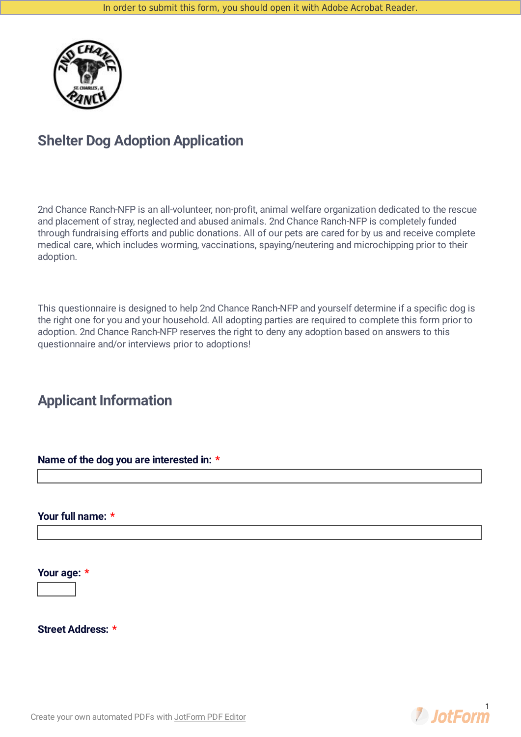

# **Shelter Dog Adoption Application**

2nd Chance Ranch-NFP is an all-volunteer, non-profit, animal welfare organization dedicated to the rescue and placement of stray, neglected and abused animals. 2nd Chance Ranch-NFP is completely funded through fundraising efforts and public donations. All of our pets are cared for by us and receive complete medical care, which includes worming, vaccinations, spaying/neutering and microchipping prior to their adoption.

This questionnaire is designed to help 2nd Chance Ranch-NFP and yourself determine if a specific dog is the right one for you and your household. All adopting parties are required to complete this form prior to adoption. 2nd Chance Ranch-NFP reserves the right to deny any adoption based on answers to this questionnaire and/or interviews prior to adoptions!

# **Applicant Information**

**Name of the dog you are interested in: \***

**Your full name: \***

**Your age: \***

**Street Address: \***



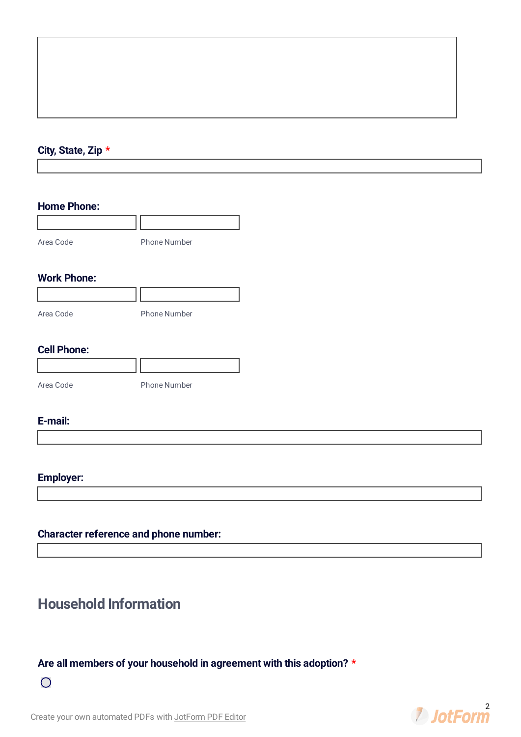### **City, State, Zip \***

#### **Home Phone:**

| Area Code | <b>Phone Number</b> |
|-----------|---------------------|

### **Work Phone:**

| Area Code | <b>Phone Number</b> |
|-----------|---------------------|

### **Cell Phone:**

| Area Code | <b>Phone Number</b> |
|-----------|---------------------|

### **E-mail:**

### **Employer:**

### **Character reference and phone number:**

# **Household Information**

### **Are all members of your household in agreement with this adoption? \***



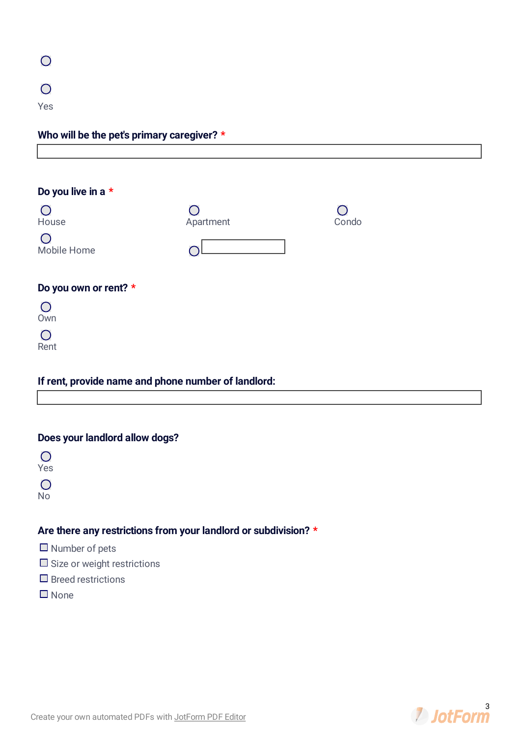| $\overline{O}$ |  |  |  |
|----------------|--|--|--|
| $\overline{O}$ |  |  |  |
| Yes            |  |  |  |

| Who will be the pet's primary caregiver? $\star$ |  |  |  |  |
|--------------------------------------------------|--|--|--|--|
|                                                  |  |  |  |  |
|                                                  |  |  |  |  |
|                                                  |  |  |  |  |

| Do you live in a *                                  |                                                            |       |
|-----------------------------------------------------|------------------------------------------------------------|-------|
| House                                               | $\left(\begin{array}{c} 1 \end{array}\right)$<br>Apartment | Condo |
| Mobile Home                                         |                                                            |       |
| Do you own or rent? *                               |                                                            |       |
| $\bigcirc$<br>Own                                   |                                                            |       |
| ◯<br>Rent                                           |                                                            |       |
| If rent, provide name and phone number of landlord: |                                                            |       |

### **Does your landlord allow dogs?**

 $\overline{O}$ Yes  $\overline{O}$ 

No

### **Are there any restrictions from your landlord or subdivision? \***

- $\Box$  Number of pets
- $\square$  Size or weight restrictions
- $\square$  Breed restrictions
- None

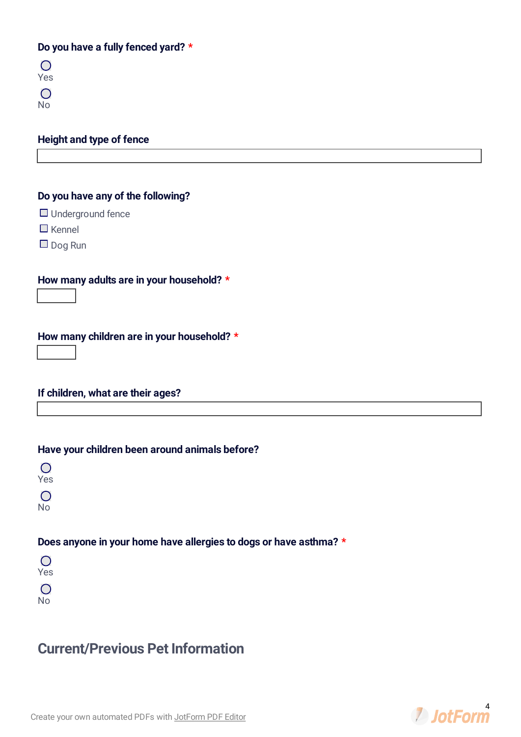### **Do you have a fully fenced yard? \***

| m.      |
|---------|
| Yes     |
| 0       |
| J۲<br>Þ |

### **Height and type of fence**

### **Do you have any of the following?**

- □ Underground fence
- $\Box$  Kennel
- $\Box$  Dog Run

### **How many adults are in your household? \***

**How many children are in your household? \***

**If children, what are their ages?**

#### **Have your children been around animals before?**

 $\bigcirc$ Yes

 $\bigcirc$ No

### **Does anyone in your home have allergies to dogs or have asthma? \***

 $\overline{O}$ Yes

 $\overline{O}$ No

## **Current/Previous Pet Information**

Create your own [automated](https://www.jotform.com/products/pdf-editor/?utm_source=pdf_file&utm_medium=referral&utm_term=203486397488170&utm_content=jotform_text&utm_campaign=pdf_file_branding_footer) PDFs with JotForm PDF Editor

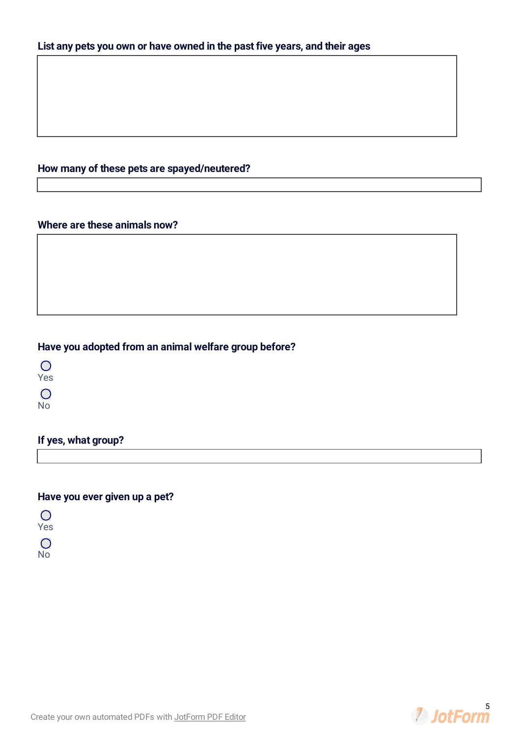### **List any pets you own or have owned in the past five years, and their ages**

### **How many of these pets are spayed/neutered?**

### **Where are these animals now?**

### **Have you adopted from an animal welfare group before?**

 $\overline{O}$ Yes

 $\overline{O}$ 

No

### **If yes, what group?**

### **Have you ever given up a pet?**

 $\overline{O}$ Yes

 $\overline{O}$ 

No

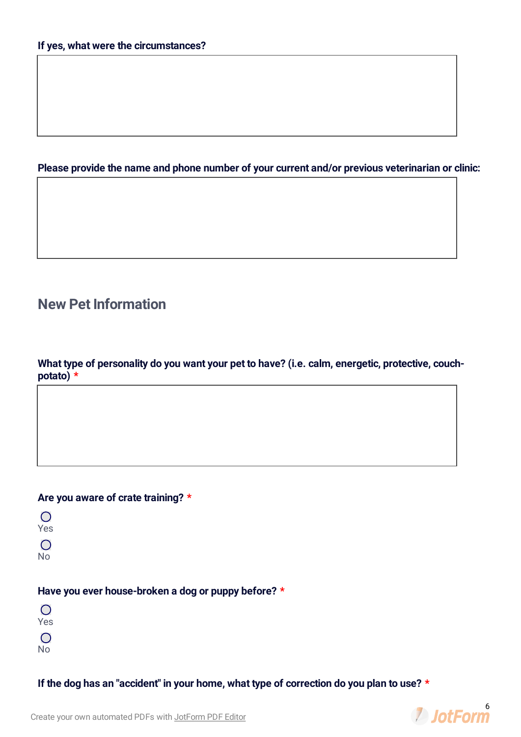### **Please provide the name and phone number of your current and/or previous veterinarian or clinic:**

# **New Pet Information**

**What type of personality do you want your pet to have? (i.e. calm, energetic, protective, couchpotato) \***

### **Are you aware of crate training? \***

| ۰.<br>$\sim$ |
|--------------|
| ÷<br>×<br>w  |

 $\overline{O}$ 

No

### **Have you ever house-broken a dog or puppy before? \***

 $\overline{O}$ Yes

 $\bigcirc$ 

No

**If the dog has an "accident" in your home, what type of correction do you plan to use? \***

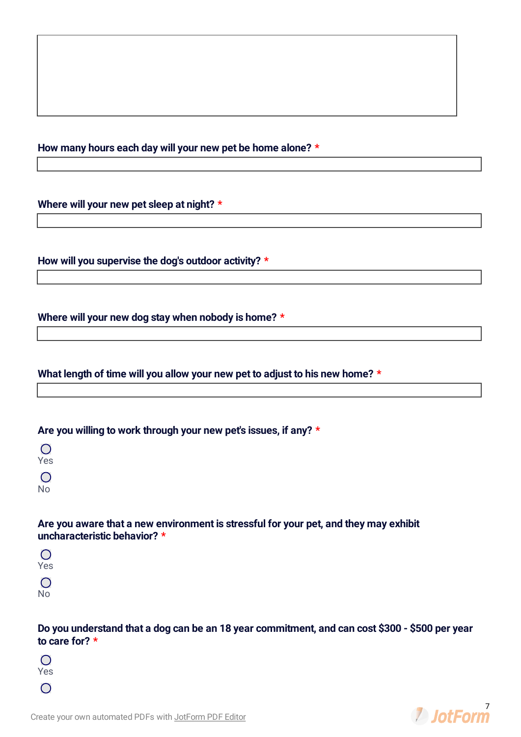#### **How many hours each day will your new pet be home alone? \***

**Where will your new pet sleep at night? \***

**How will you supervise the dog's outdoor activity? \***

**Where will your new dog stay when nobody is home? \***

**What length of time will you allow your new pet to adjust to his new home? \***

**Are you willing to work through your new pet's issues, if any? \***

 $\bigcap$ Yes  $\bigcirc$ No

**Are you aware that a new environment is stressful for your pet, and they may exhibit uncharacteristic behavior? \***

 $\bigcirc$ Yes  $\bigcirc$ No

Do you understand that a dog can be an 18 year commitment, and can cost \$300 - \$500 per year **to care for? \***

 $\bigcirc$ Yes  $\bigcirc$ 

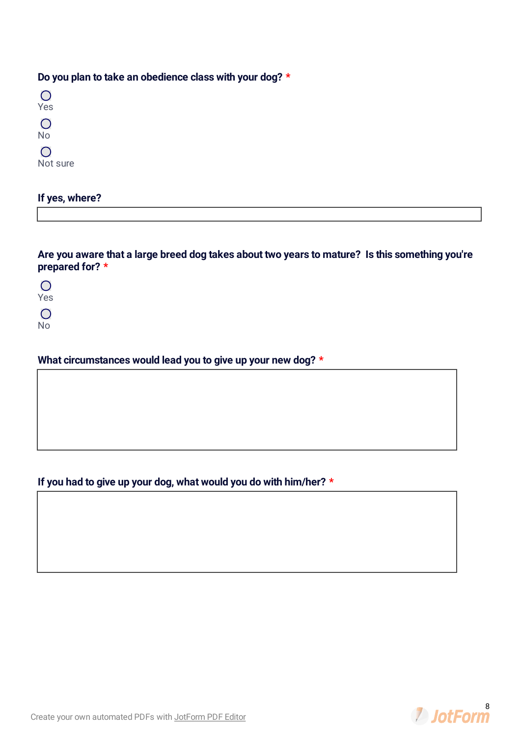### **Do you plan to take an obedience class with your dog? \***

| Yes                                           |
|-----------------------------------------------|
| $\left( \begin{array}{c} \end{array} \right)$ |
| No                                            |
| $\left( \begin{array}{c} \end{array} \right)$ |
| Not sure                                      |

### **If yes, where?**

**Are you aware that a large breed dog takes about two years to mature? Is this something you're prepared for? \***

 $\overline{O}$ Yes

 $\overline{O}$ 

No

### **What circumstances would lead you to give up your new dog? \***

### **If you had to give up your dog, what would you do with him/her? \***